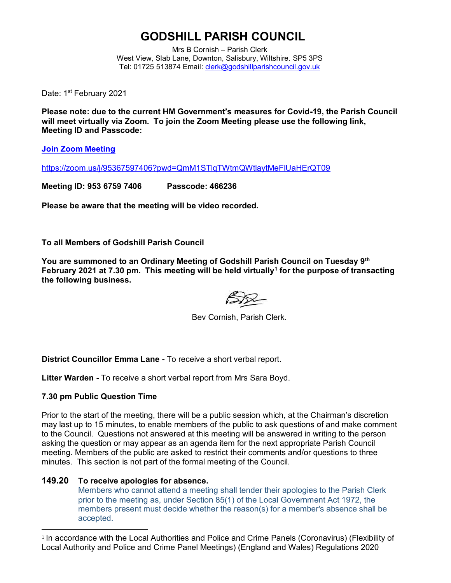# **GODSHILL PARISH COUNCIL**

Mrs B Cornish – Parish Clerk West View, Slab Lane, Downton, Salisbury, Wiltshire. SP5 3PS Tel: 01725 513874 Email: [clerk@godshillparishcouncil.gov.uk](mailto:clerk@godshillparishcouncil.gov.uk)

Date: 1<sup>st</sup> February 2021

**Please note: due to the current HM Government's measures for Covid-19, the Parish Council will meet virtually via Zoom. To join the Zoom Meeting please use the following link, Meeting ID and Passcode:**

**[Join Zoom Meeting](https://zoom.us/j/95367597406?pwd=QmM1STlqTWtmQWtlaytMeFlUaHErQT09)**

<https://zoom.us/j/95367597406?pwd=QmM1STlqTWtmQWtlaytMeFlUaHErQT09>

**Meeting ID: 953 6759 7406 Passcode: 466236**

**Please be aware that the meeting will be video recorded.**

**To all Members of Godshill Parish Council**

**You are summoned to an Ordinary Meeting of Godshill Parish Council on Tuesday 9 th February 2021 at 7.30 pm. This meeting will be held virtually<sup>1</sup> for the purpose of transacting the following business.**

Bev Cornish, Parish Clerk.

**District Councillor Emma Lane -** To receive a short verbal report.

**Litter Warden -** To receive a short verbal report from Mrs Sara Boyd.

### **7.30 pm Public Question Time**

Prior to the start of the meeting, there will be a public session which, at the Chairman's discretion may last up to 15 minutes, to enable members of the public to ask questions of and make comment to the Council. Questions not answered at this meeting will be answered in writing to the person asking the question or may appear as an agenda item for the next appropriate Parish Council meeting. Members of the public are asked to restrict their comments and/or questions to three minutes. This section is not part of the formal meeting of the Council.

### **149.20 To receive apologies for absence.**

Members who cannot attend a meeting shall tender their apologies to the Parish Clerk prior to the meeting as, under Section 85(1) of the Local Government Act 1972, the members present must decide whether the reason(s) for a member's absence shall be accepted.

<sup>1</sup> In accordance with the Local Authorities and Police and Crime Panels (Coronavirus) (Flexibility of Local Authority and Police and Crime Panel Meetings) (England and Wales) Regulations 2020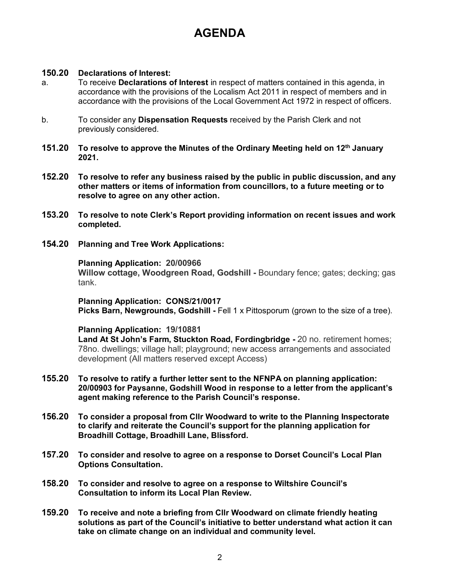# **AGENDA**

## **150.20 Declarations of Interest:**

- a. To receive **Declarations of Interest** in respect of matters contained in this agenda, in accordance with the provisions of the Localism Act 2011 in respect of members and in accordance with the provisions of the Local Government Act 1972 in respect of officers.
- b. To consider any **Dispensation Requests** received by the Parish Clerk and not previously considered.
- **151.20 To resolve to approve the Minutes of the Ordinary Meeting held on 12th January 2021.**
- **152.20 To resolve to refer any business raised by the public in public discussion, and any other matters or items of information from councillors, to a future meeting or to resolve to agree on any other action.**
- **153.20 To resolve to note Clerk's Report providing information on recent issues and work completed.**
- **154.20 Planning and Tree Work Applications:**

**Planning Application: 20/00966 Willow cottage, Woodgreen Road, Godshill -** Boundary fence; gates; decking; gas tank.

**Planning Application: CONS/21/0017 Picks Barn, Newgrounds, Godshill -** Fell 1 x Pittosporum (grown to the size of a tree).

### **Planning Application: 19/10881**

**Land At St John's Farm, Stuckton Road, Fordingbridge -** 20 no. retirement homes; 78no. dwellings; village hall; playground; new access arrangements and associated development (All matters reserved except Access)

- **155.20 To resolve to ratify a further letter sent to the NFNPA on planning application: 20/00903 for Paysanne, Godshill Wood in response to a letter from the applicant's agent making reference to the Parish Council's response.**
- **156.20 To consider a proposal from Cllr Woodward to write to the Planning Inspectorate to clarify and reiterate the Council's support for the planning application for Broadhill Cottage, Broadhill Lane, Blissford.**
- **157.20 To consider and resolve to agree on a response to Dorset Council's Local Plan Options Consultation.**
- **158.20 To consider and resolve to agree on a response to Wiltshire Council's Consultation to inform its Local Plan Review.**
- **159.20 To receive and note a briefing from Cllr Woodward on climate friendly heating solutions as part of the Council's initiative to better understand what action it can take on climate change on an individual and community level.**